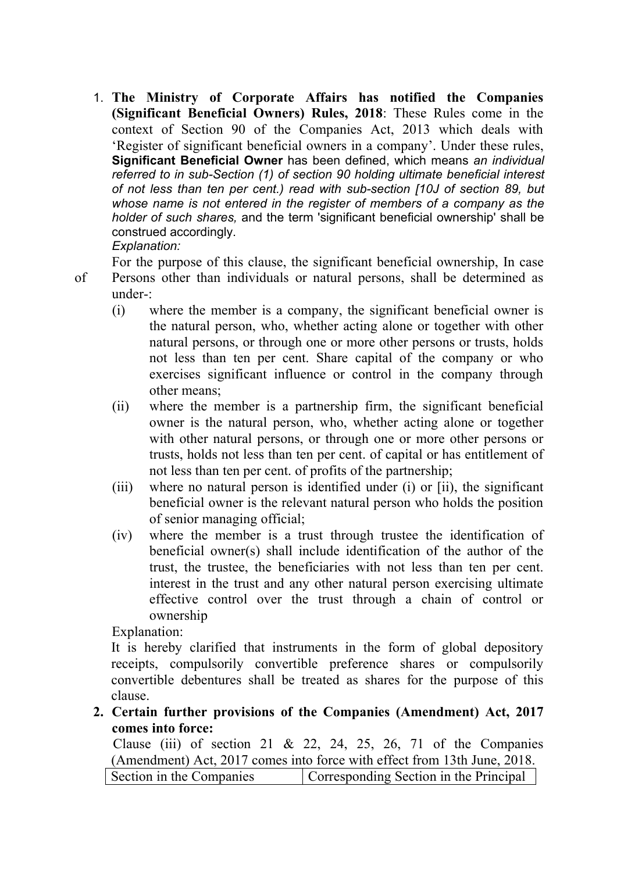1. **The Ministry of Corporate Affairs has notified the Companies (Significant Beneficial Owners) Rules, 2018**: These Rules come in the context of Section 90 of the Companies Act, 2013 which deals with 'Register of significant beneficial owners in a company'. Under these rules, **Significant Beneficial Owner** has been defined, which means *an individual referred to in sub-Section (1) of section 90 holding ultimate beneficial interest of not less than ten per cent.) read with sub-section [10J of section 89, but whose name is not entered in the register of members of a company as the holder of such shares,* and the term 'significant beneficial ownership' shall be construed accordingly. *Explanation:*

For the purpose of this clause, the significant beneficial ownership, In case of Persons other than individuals or natural persons, shall be determined as under-:

- (i) where the member is a company, the significant beneficial owner is the natural person, who, whether acting alone or together with other natural persons, or through one or more other persons or trusts, holds not less than ten per cent. Share capital of the company or who exercises significant influence or control in the company through other means;
- (ii) where the member is a partnership firm, the significant beneficial owner is the natural person, who, whether acting alone or together with other natural persons, or through one or more other persons or trusts, holds not less than ten per cent. of capital or has entitlement of not less than ten per cent. of profits of the partnership;
- (iii) where no natural person is identified under (i) or [ii), the significant beneficial owner is the relevant natural person who holds the position of senior managing official;
- (iv) where the member is a trust through trustee the identification of beneficial owner(s) shall include identification of the author of the trust, the trustee, the beneficiaries with not less than ten per cent. interest in the trust and any other natural person exercising ultimate effective control over the trust through a chain of control or ownership

Explanation:

It is hereby clarified that instruments in the form of global depository receipts, compulsorily convertible preference shares or compulsorily convertible debentures shall be treated as shares for the purpose of this clause.

**2. Certain further provisions of the Companies (Amendment) Act, 2017 comes into force:**

Clause (iii) of section 21 & 22, 24, 25, 26, 71 of the Companies (Amendment) Act, 2017 comes into force with effect from 13th June, 2018. Section in the Companies Corresponding Section in the Principal